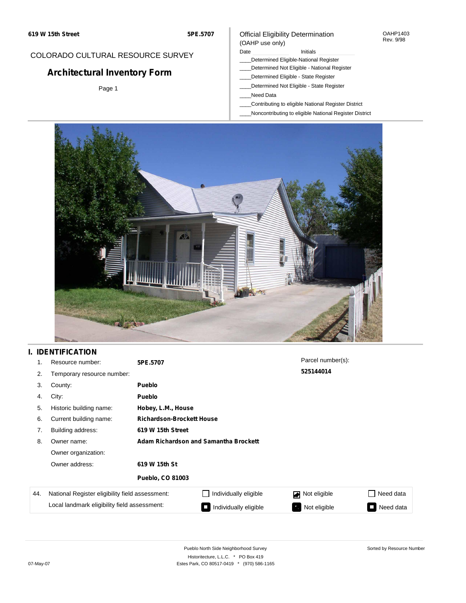#### OAHP1403 Rev. 9/98

### COLORADO CULTURAL RESOURCE SURVEY

# **Architectural Inventory Form**

Page 1

### (OAHP use only) Date **Initials** Initials

Official Eligibility Determination

- \_\_\_\_Determined Eligible-National Register
- \_\_\_\_Determined Not Eligible National Register
- \_\_\_\_Determined Eligible State Register
- \_\_\_\_Determined Not Eligible State Register
- \_\_\_\_Need Data
- \_\_\_\_Contributing to eligible National Register District
- \_\_\_\_Noncontributing to eligible National Register District



## **I. IDENTIFICATION**

| 1.  | Resource number:                                | 5PE.5707                              |                                  | Parcel number(s):         |                                       |  |  |  |  |  |
|-----|-------------------------------------------------|---------------------------------------|----------------------------------|---------------------------|---------------------------------------|--|--|--|--|--|
| 2.  | Temporary resource number:                      |                                       | 525144014                        |                           |                                       |  |  |  |  |  |
| 3.  | County:                                         | <b>Pueblo</b>                         |                                  |                           |                                       |  |  |  |  |  |
| 4.  | City:                                           | Pueblo                                |                                  |                           |                                       |  |  |  |  |  |
| 5.  | Historic building name:                         | Hobey, L.M., House                    |                                  |                           |                                       |  |  |  |  |  |
| 6.  | Current building name:                          |                                       | <b>Richardson-Brockett House</b> |                           |                                       |  |  |  |  |  |
| 7.  | Building address:                               | 619 W 15th Street                     |                                  |                           |                                       |  |  |  |  |  |
| 8.  | Owner name:                                     | Adam Richardson and Samantha Brockett |                                  |                           |                                       |  |  |  |  |  |
|     | Owner organization:                             |                                       |                                  |                           |                                       |  |  |  |  |  |
|     | Owner address:                                  | 619 W 15th St                         |                                  |                           |                                       |  |  |  |  |  |
|     |                                                 | <b>Pueblo, CO 81003</b>               |                                  |                           |                                       |  |  |  |  |  |
| 44. | National Register eligibility field assessment: |                                       | Individually eligible            | Not eligible              | Need data                             |  |  |  |  |  |
|     | Local landmark eligibility field assessment:    |                                       | Individually eligible            | Not eligible<br>$\bullet$ | Need data<br>$\overline{\phantom{0}}$ |  |  |  |  |  |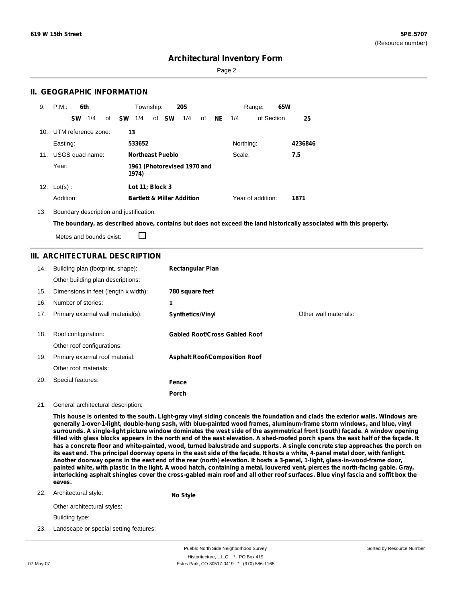Page 2

### **II. GEOGRAPHIC INFORMATION**

| 9.  | P.M.                                          | 6th       |     |    |           | Township:       |                         | <b>20S</b>                            |    |           |           | Range:            | 65W |         |
|-----|-----------------------------------------------|-----------|-----|----|-----------|-----------------|-------------------------|---------------------------------------|----|-----------|-----------|-------------------|-----|---------|
|     |                                               | <b>SW</b> | 1/4 | of | <b>SW</b> | 1/4             | of <b>SW</b>            | 1/4                                   | of | <b>NE</b> | 1/4       | of Section        |     | 25      |
|     | 10. UTM reference zone:                       |           |     |    | 13        |                 |                         |                                       |    |           |           |                   |     |         |
|     | Easting:                                      |           |     |    |           | 533652          |                         |                                       |    |           | Northing: |                   |     | 4236846 |
| 11. | USGS quad name:                               |           |     |    |           |                 | <b>Northeast Pueblo</b> |                                       |    |           | Scale:    |                   |     | 7.5     |
|     | Year:<br>1961 (Photorevised 1970 and<br>1974) |           |     |    |           |                 |                         |                                       |    |           |           |                   |     |         |
|     | 12. $Lot(s)$ :                                |           |     |    |           | Lot 11; Block 3 |                         |                                       |    |           |           |                   |     |         |
|     | Addition:                                     |           |     |    |           |                 |                         | <b>Bartlett &amp; Miller Addition</b> |    |           |           | Year of addition: |     | 1871    |

13. Boundary description and justification:

The boundary, as described above, contains but does not exceed the land historically associated with this property.

Metes and bounds exist:

П

### **III. ARCHITECTURAL DESCRIPTION**

| 14. | Building plan (footprint, shape):<br>Other building plan descriptions: | <b>Rectangular Plan</b>              |                       |
|-----|------------------------------------------------------------------------|--------------------------------------|-----------------------|
| 15. | Dimensions in feet (length x width):                                   | 780 square feet                      |                       |
| 16. | Number of stories:                                                     | 1                                    |                       |
| 17. | Primary external wall material(s):                                     | <b>Synthetics/Vinyl</b>              | Other wall materials: |
|     |                                                                        |                                      |                       |
| 18. | Roof configuration:                                                    | <b>Gabled Roof/Cross Gabled Roof</b> |                       |
|     | Other roof configurations:                                             |                                      |                       |
| 19. | Primary external roof material:                                        | <b>Asphalt Roof/Composition Roof</b> |                       |
|     | Other roof materials:                                                  |                                      |                       |
| 20. | Special features:                                                      | Fence                                |                       |
|     |                                                                        | Porch                                |                       |

#### 21. General architectural description:

This house is oriented to the south. Light-gray vinyl siding conceals the foundation and clads the exterior walls. Windows are **generally 1-over-1-light, double-hung sash, with blue-painted wood frames, aluminum-frame storm windows, and blue, vinyl** surrounds. A single-light picture window dominates the west side of the asymmetrical front (south) façade. A window opening filled with glass blocks appears in the north end of the east elevation. A shed-roofed porch spans the east half of the façade. It has a concrete floor and white-painted, wood, turned balustrade and supports. A single concrete step approaches the porch on its east end. The principal doorway opens in the east side of the façade. It hosts a white, 4-panel metal door, with fanlight. Another doorway opens in the east end of the rear (north) elevation. It hosts a 3-panel, 1-light, glass-in-wood-frame door, painted white, with plastic in the light. A wood hatch, containing a metal, louvered vent, pierces the north-facing gable. Gray, interlocking asphalt shingles cover the cross-gabled main roof and all other roof surfaces. Blue vinyl fascia and soffit box the **eaves.**

22. Architectural style:

**No Style**

Other architectural styles:

Building type:

23. Landscape or special setting features: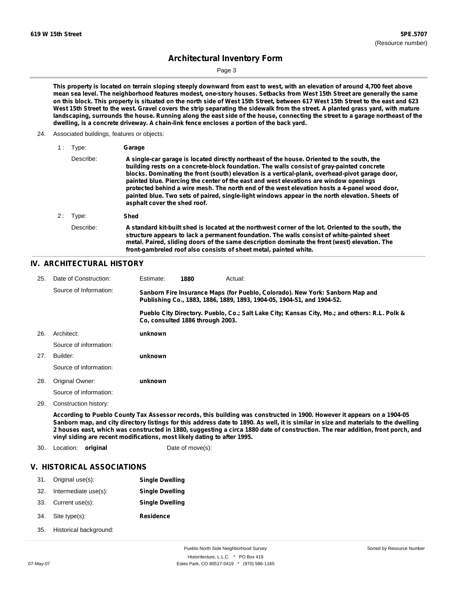Page 3

This property is located on terrain sloping steeply downward from east to west, with an elevation of around 4,700 feet above mean sea level. The neighborhood features modest, one-story houses. Setbacks from West 15th Street are generally the same on this block. This property is situated on the north side of West 15th Street, between 617 West 15th Street to the east and 623 West 15th Street to the west. Gravel covers the strip separating the sidewalk from the street. A planted grass yard, with mature landscaping, surrounds the house. Running along the east side of the house, connecting the street to a garage northeast of the **dwelling, is a concrete driveway. A chain-link fence encloses a portion of the back yard.**

24. Associated buildings, features or objects:

| 1: | Type:     | Garage                                                                                                                                                                                                                                                                                                                                                                                                                                                                                                                                                                                                                 |
|----|-----------|------------------------------------------------------------------------------------------------------------------------------------------------------------------------------------------------------------------------------------------------------------------------------------------------------------------------------------------------------------------------------------------------------------------------------------------------------------------------------------------------------------------------------------------------------------------------------------------------------------------------|
|    | Describe: | A single-car garage is located directly northeast of the house. Oriented to the south, the<br>building rests on a concrete-block foundation. The walls consist of gray-painted concrete<br>blocks. Dominating the front (south) elevation is a vertical-plank, overhead-pivot garage door,<br>painted blue. Piercing the center of the east and west elevations are window openings<br>protected behind a wire mesh. The north end of the west elevation hosts a 4-panel wood door,<br>painted blue. Two sets of paired, single-light windows appear in the north elevation. Sheets of<br>asphalt cover the shed roof. |
| 2: | Type:     | Shed                                                                                                                                                                                                                                                                                                                                                                                                                                                                                                                                                                                                                   |
|    | Describe: | A standard kit-built shed is located at the northwest corner of the lot. Oriented to the south, the<br>structure appears to lack a permanent foundation. The walls consist of white-painted sheet<br>metal. Paired, sliding doors of the same description dominate the front (west) elevation. The<br>front-gambreled roof also consists of sheet metal, painted white.                                                                                                                                                                                                                                                |

### **IV. ARCHITECTURAL HISTORY**

| 25. | Date of Construction:  | Estimate:                        | 1880 | Actual: |                                                                                                                                                         |
|-----|------------------------|----------------------------------|------|---------|---------------------------------------------------------------------------------------------------------------------------------------------------------|
|     | Source of Information: |                                  |      |         | Sanborn Fire Insurance Maps (for Pueblo, Colorado). New York: Sanborn Map and<br>Publishing Co., 1883, 1886, 1889, 1893, 1904-05, 1904-51, and 1904-52. |
|     |                        | Co. consulted 1886 through 2003. |      |         | Pueblo City Directory. Pueblo, Co.; Salt Lake City; Kansas City, Mo.; and others: R.L. Polk &                                                           |
| 26. | Architect:             | unknown                          |      |         |                                                                                                                                                         |
|     | Source of information: |                                  |      |         |                                                                                                                                                         |
| 27. | Builder:               | unknown                          |      |         |                                                                                                                                                         |
|     | Source of information: |                                  |      |         |                                                                                                                                                         |
| 28. | Original Owner:        | unknown                          |      |         |                                                                                                                                                         |
|     | Source of information: |                                  |      |         |                                                                                                                                                         |
| 29. | Construction history:  |                                  |      |         |                                                                                                                                                         |

According to Pueblo County Tax Assessor records, this building was constructed in 1900. However it appears on a 1904-05 Sanborn map, and city directory listings for this address date to 1890. As well, it is similar in size and materials to the dwelling 2 houses east, which was constructed in 1880, suggesting a circa 1880 date of construction. The rear addition, front porch, and **vinyl siding are recent modifications, most likely dating to after 1995.**

30. Location: **original** Date of move(s):

### **V. HISTORICAL ASSOCIATIONS**

| 31. | Original use(s):       | <b>Single Dwelling</b> |
|-----|------------------------|------------------------|
| 32. | Intermediate use(s):   | <b>Single Dwelling</b> |
| 33. | Current use(s):        | <b>Single Dwelling</b> |
| 34. | Site type(s):          | <b>Residence</b>       |
| 35. | Historical background: |                        |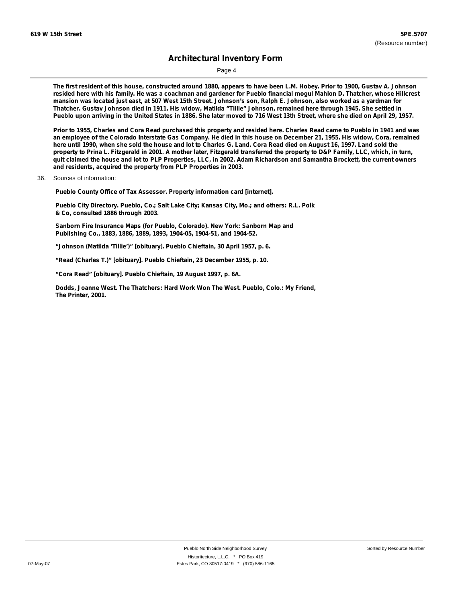Page 4

The first resident of this house, constructed around 1880, appears to have been L.M. Hobey. Prior to 1900, Gustav A. Johnson resided here with his family. He was a coachman and gardener for Pueblo financial mogul Mahlon D. Thatcher, whose Hillcrest mansion was located just east, at 507 West 15th Street. Johnson's son, Ralph E. Johnson, also worked as a yardman for Thatcher. Gustav Johnson died in 1911. His widow, Matilda "Tillie" Johnson, remained here through 1945. She settled in Pueblo upon arriving in the United States in 1886. She later moved to 716 West 13th Street, where she died on April 29, 1957.

Prior to 1955, Charles and Cora Read purchased this property and resided here. Charles Read came to Pueblo in 1941 and was an employee of the Colorado Interstate Gas Company. He died in this house on December 21, 1955. His widow, Cora, remained here until 1990, when she sold the house and lot to Charles G. Land. Cora Read died on August 16, 1997. Land sold the property to Prina L. Fitzgerald in 2001. A mother later, Fitzgerald transferred the property to D&P Family, LLC, which, in turn, quit claimed the house and lot to PLP Properties, LLC, in 2002. Adam Richardson and Samantha Brockett, the current owners **and residents, acquired the property from PLP Properties in 2003.**

36. Sources of information:

**Pueblo County Office of Tax Assessor. Property information card [internet].**

**Pueblo City Directory. Pueblo, Co.; Salt Lake City; Kansas City, Mo.; and others: R.L. Polk & Co, consulted 1886 through 2003.**

**Sanborn Fire Insurance Maps (for Pueblo, Colorado). New York: Sanborn Map and Publishing Co., 1883, 1886, 1889, 1893, 1904-05, 1904-51, and 1904-52.**

**"Johnson (Matilda 'Tillie')" [obituary]. Pueblo Chieftain, 30 April 1957, p. 6.**

**"Read (Charles T.)" [obituary]. Pueblo Chieftain, 23 December 1955, p. 10.**

**"Cora Read" [obituary]. Pueblo Chieftain, 19 August 1997, p. 6A.**

**Dodds, Joanne West. The Thatchers: Hard Work Won The West. Pueblo, Colo.: My Friend, The Printer, 2001.**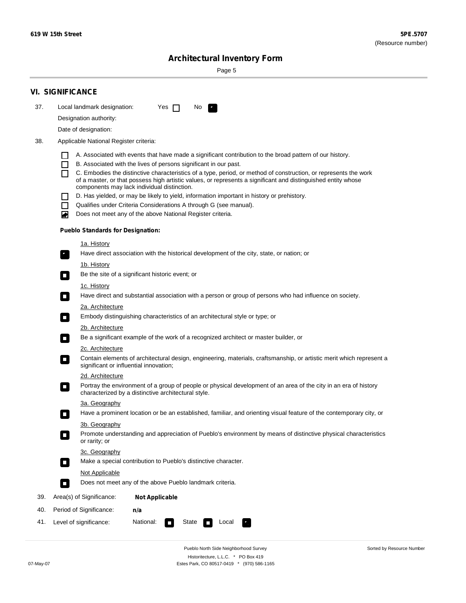Sorted by Resource Number

# **Architectural Inventory Form**

Page 5

|     | <b>VI. SIGNIFICANCE</b>                                                                                                                                                                        |  |  |  |  |  |  |  |  |
|-----|------------------------------------------------------------------------------------------------------------------------------------------------------------------------------------------------|--|--|--|--|--|--|--|--|
| 37. | Local landmark designation:<br>Yes $\Box$<br>No.<br>$\mathbf{F}_{\mathbf{r}}$                                                                                                                  |  |  |  |  |  |  |  |  |
|     | Designation authority:                                                                                                                                                                         |  |  |  |  |  |  |  |  |
|     | Date of designation:                                                                                                                                                                           |  |  |  |  |  |  |  |  |
| 38. | Applicable National Register criteria:                                                                                                                                                         |  |  |  |  |  |  |  |  |
|     |                                                                                                                                                                                                |  |  |  |  |  |  |  |  |
|     | A. Associated with events that have made a significant contribution to the broad pattern of our history.<br>B. Associated with the lives of persons significant in our past.<br>$\blacksquare$ |  |  |  |  |  |  |  |  |
|     | C. Embodies the distinctive characteristics of a type, period, or method of construction, or represents the work<br>П                                                                          |  |  |  |  |  |  |  |  |
|     | of a master, or that possess high artistic values, or represents a significant and distinguished entity whose<br>components may lack individual distinction.                                   |  |  |  |  |  |  |  |  |
|     | D. Has yielded, or may be likely to yield, information important in history or prehistory.                                                                                                     |  |  |  |  |  |  |  |  |
|     | Qualifies under Criteria Considerations A through G (see manual).<br>$\sim$                                                                                                                    |  |  |  |  |  |  |  |  |
|     | Does not meet any of the above National Register criteria.<br>₩                                                                                                                                |  |  |  |  |  |  |  |  |
|     | <b>Pueblo Standards for Designation:</b>                                                                                                                                                       |  |  |  |  |  |  |  |  |
|     | 1a. History                                                                                                                                                                                    |  |  |  |  |  |  |  |  |
|     | $\overline{\mathbf{r}}_1$<br>Have direct association with the historical development of the city, state, or nation; or                                                                         |  |  |  |  |  |  |  |  |
|     | <u>1b. History</u>                                                                                                                                                                             |  |  |  |  |  |  |  |  |
|     | Be the site of a significant historic event; or<br>$\mathcal{L}_{\mathcal{A}}$                                                                                                                 |  |  |  |  |  |  |  |  |
|     | 1c. History                                                                                                                                                                                    |  |  |  |  |  |  |  |  |
|     | Have direct and substantial association with a person or group of persons who had influence on society.<br>$\overline{\phantom{a}}$                                                            |  |  |  |  |  |  |  |  |
|     | 2a. Architecture                                                                                                                                                                               |  |  |  |  |  |  |  |  |
|     | Embody distinguishing characteristics of an architectural style or type; or<br>$\Box$                                                                                                          |  |  |  |  |  |  |  |  |
|     | 2b. Architecture<br>Be a significant example of the work of a recognized architect or master builder, or<br>$\Box$                                                                             |  |  |  |  |  |  |  |  |
|     | 2c. Architecture                                                                                                                                                                               |  |  |  |  |  |  |  |  |
|     | Contain elements of architectural design, engineering, materials, craftsmanship, or artistic merit which represent a<br>$\Box$<br>significant or influential innovation;                       |  |  |  |  |  |  |  |  |
|     | 2d. Architecture                                                                                                                                                                               |  |  |  |  |  |  |  |  |
|     | Portray the environment of a group of people or physical development of an area of the city in an era of history<br>$\Box$<br>characterized by a distinctive architectural style.              |  |  |  |  |  |  |  |  |
|     | 3a. Geography                                                                                                                                                                                  |  |  |  |  |  |  |  |  |
|     | Have a prominent location or be an established, familiar, and orienting visual feature of the contemporary city, or                                                                            |  |  |  |  |  |  |  |  |
|     | 3b. Geography                                                                                                                                                                                  |  |  |  |  |  |  |  |  |
|     | Promote understanding and appreciation of Pueblo's environment by means of distinctive physical characteristics<br>or rarity; or                                                               |  |  |  |  |  |  |  |  |
|     | 3c. Geography                                                                                                                                                                                  |  |  |  |  |  |  |  |  |
|     | Make a special contribution to Pueblo's distinctive character.<br>$\overline{\phantom{a}}$                                                                                                     |  |  |  |  |  |  |  |  |
|     | <b>Not Applicable</b>                                                                                                                                                                          |  |  |  |  |  |  |  |  |
|     | Does not meet any of the above Pueblo landmark criteria.<br>$\overline{\phantom{a}}$                                                                                                           |  |  |  |  |  |  |  |  |
| 39. | Area(s) of Significance:<br><b>Not Applicable</b>                                                                                                                                              |  |  |  |  |  |  |  |  |
| 40. | Period of Significance:<br>n/a                                                                                                                                                                 |  |  |  |  |  |  |  |  |
| 41. | Level of significance:<br>National:<br>State<br>Local<br>$\sim$                                                                                                                                |  |  |  |  |  |  |  |  |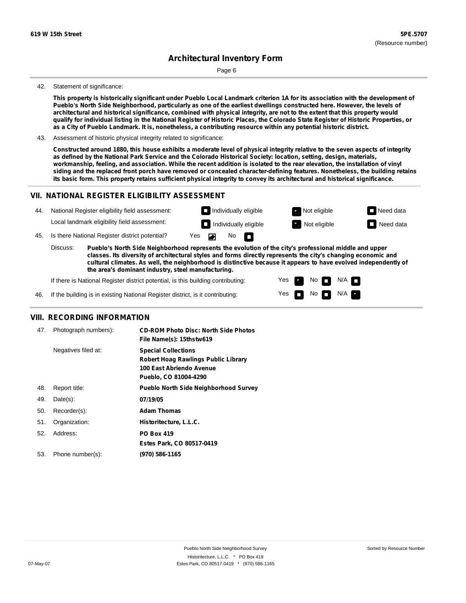Page 6

#### 42. Statement of significance:

This property is historically significant under Pueblo Local Landmark criterion 1A for its association with the development of Pueblo's North Side Neighborhood, particularly as one of the earliest dwellings constructed here. However, the levels of architectural and historical significance, combined with physical integrity, are not to the extent that this property would qualify for individual listing in the National Register of Historic Places, the Colorado State Register of Historic Properties, or as a City of Pueblo Landmark. It is, nonetheless, a contributing resource within any potential historic district.

43. Assessment of historic physical integrity related to significance:

Constructed around 1880, this house exhibits a moderate level of physical integrity relative to the seven aspects of integrity as defined by the National Park Service and the Colorado Historical Society: location, setting, design, materials, workmanship, feeling, and association. While the recent addition is isolated to the rear elevation, the installation of vinyl siding and the replaced front porch have removed or concealed character-defining features. Nonetheless, the building retains its basic form. This property retains sufficient physical integrity to convey its architectural and historical significance.

> Yes Yes

No<sub>I</sub>I

No  $\blacksquare$  N/A  $\blacksquare$ 

 $N/A$   $\Box$ 

### **VII. NATIONAL REGISTER ELIGIBILITY ASSESSMENT**

| 44. | National Register eligibility field assessment:                                                                                                                                                                                    |                                                |                      | $\Box$ Individually eligible |  |                              | Not eligible | $\Box$ Need data |
|-----|------------------------------------------------------------------------------------------------------------------------------------------------------------------------------------------------------------------------------------|------------------------------------------------|----------------------|------------------------------|--|------------------------------|--------------|------------------|
|     |                                                                                                                                                                                                                                    | Local landmark eligibility field assessment:   |                      |                              |  | $\Box$ Individually eligible | Not eligible | $\Box$ Need data |
| 45. |                                                                                                                                                                                                                                    | Is there National Register district potential? | $Yes$ $\blacksquare$ |                              |  | No $\blacksquare$            |              |                  |
|     | Discuss:<br>Pueblo's North Side Neighborhood represents the evolution of the city's professional middle and upper<br>classes. Its diversity of architectural styles and forms directly represents the city's changing economic and |                                                |                      |                              |  |                              |              |                  |

**cultural climates. As well, the neighborhood is distinctive because it appears to have evolved independently of the area's dominant industry, steel manufacturing.**

If there is National Register district potential, is this building contributing:

46. If the building is in existing National Register district, is it contributing:

### **VIII. RECORDING INFORMATION**

| 47. | Photograph numbers): | <b>CD-ROM Photo Disc: North Side Photos</b><br>File Name(s): 15thstw619                                                       |
|-----|----------------------|-------------------------------------------------------------------------------------------------------------------------------|
|     | Negatives filed at:  | <b>Special Collections</b><br><b>Robert Hoag Rawlings Public Library</b><br>100 East Abriendo Avenue<br>Pueblo, CO 81004-4290 |
| 48. | Report title:        | <b>Pueblo North Side Neighborhood Survey</b>                                                                                  |
| 49. | $Date(s)$ :          | 07/19/05                                                                                                                      |
| 50. | Recorder(s):         | <b>Adam Thomas</b>                                                                                                            |
| 51. | Organization:        | Historitecture, L.L.C.                                                                                                        |
| 52. | Address:             | <b>PO Box 419</b>                                                                                                             |
|     |                      | Estes Park, CO 80517-0419                                                                                                     |
| 53. | Phone number(s):     | (970) 586-1165                                                                                                                |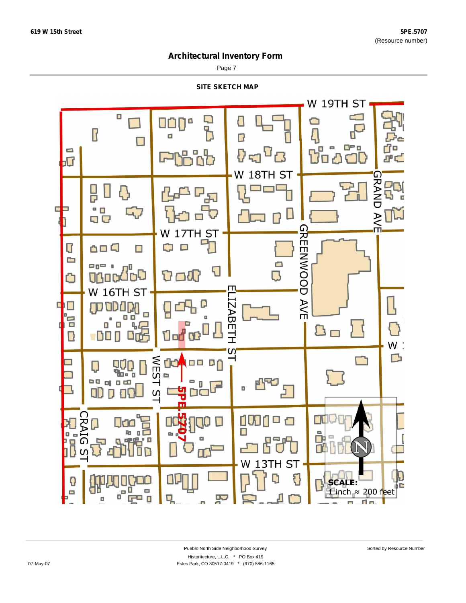Page 7

**SITE SKETCH MAP**